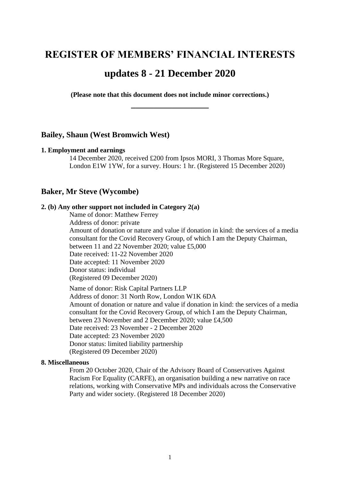# **REGISTER OF MEMBERS' FINANCIAL INTERESTS**

# **updates 8 - 21 December 2020**

**(Please note that this document does not include minor corrections.) \_\_\_\_\_\_\_\_\_\_\_\_\_\_\_\_\_**

### **Bailey, Shaun (West Bromwich West)**

#### **1. Employment and earnings**

14 December 2020, received £200 from Ipsos MORI, 3 Thomas More Square, London E1W 1YW, for a survey. Hours: 1 hr. (Registered 15 December 2020)

# **Baker, Mr Steve (Wycombe)**

#### **2. (b) Any other support not included in Category 2(a)**

Name of donor: Matthew Ferrey Address of donor: private Amount of donation or nature and value if donation in kind: the services of a media consultant for the Covid Recovery Group, of which I am the Deputy Chairman, between 11 and 22 November 2020; value £5,000 Date received: 11-22 November 2020 Date accepted: 11 November 2020 Donor status: individual (Registered 09 December 2020)

Name of donor: Risk Capital Partners LLP Address of donor: 31 North Row, London W1K 6DA Amount of donation or nature and value if donation in kind: the services of a media consultant for the Covid Recovery Group, of which I am the Deputy Chairman, between 23 November and 2 December 2020; value £4,500 Date received: 23 November - 2 December 2020 Date accepted: 23 November 2020 Donor status: limited liability partnership (Registered 09 December 2020)

### **8. Miscellaneous**

From 20 October 2020, Chair of the Advisory Board of Conservatives Against Racism For Equality (CARFE), an organisation building a new narrative on race relations, working with Conservative MPs and individuals across the Conservative Party and wider society. (Registered 18 December 2020)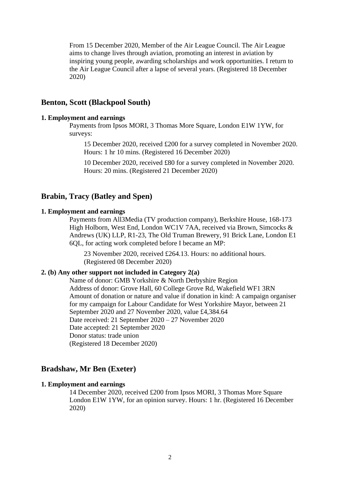From 15 December 2020, Member of the Air League Council. The Air League aims to change lives through aviation, promoting an interest in aviation by inspiring young people, awarding scholarships and work opportunities. I return to the Air League Council after a lapse of several years. (Registered 18 December 2020)

# **Benton, Scott (Blackpool South)**

### **1. Employment and earnings**

Payments from Ipsos MORI, 3 Thomas More Square, London E1W 1YW, for surveys:

15 December 2020, received £200 for a survey completed in November 2020. Hours: 1 hr 10 mins. (Registered 16 December 2020)

10 December 2020, received £80 for a survey completed in November 2020. Hours: 20 mins. (Registered 21 December 2020)

# **Brabin, Tracy (Batley and Spen)**

### **1. Employment and earnings**

Payments from All3Media (TV production company), Berkshire House, 168-173 High Holborn, West End, London WC1V 7AA, received via Brown, Simcocks & Andrews (UK) LLP, R1-23, The Old Truman Brewery, 91 Brick Lane, London E1 6QL, for acting work completed before I became an MP:

23 November 2020, received £264.13. Hours: no additional hours. (Registered 08 December 2020)

### **2. (b) Any other support not included in Category 2(a)**

Name of donor: GMB Yorkshire & North Derbyshire Region Address of donor: Grove Hall, 60 College Grove Rd, Wakefield WF1 3RN Amount of donation or nature and value if donation in kind: A campaign organiser for my campaign for Labour Candidate for West Yorkshire Mayor, between 21 September 2020 and 27 November 2020, value £4,384.64 Date received: 21 September 2020 – 27 November 2020 Date accepted: 21 September 2020 Donor status: trade union (Registered 18 December 2020)

### **Bradshaw, Mr Ben (Exeter)**

### **1. Employment and earnings**

14 December 2020, received £200 from Ipsos MORI, 3 Thomas More Square London E1W 1YW, for an opinion survey. Hours: 1 hr. (Registered 16 December 2020)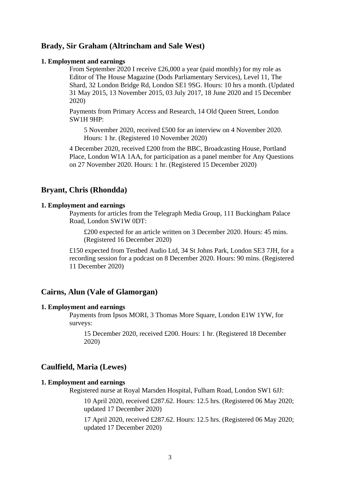### **Brady, Sir Graham (Altrincham and Sale West)**

#### **1. Employment and earnings**

From September 2020 I receive £26,000 a year (paid monthly) for my role as Editor of The House Magazine (Dods Parliamentary Services), Level 11, The Shard, 32 London Bridge Rd, London SE1 9SG. Hours: 10 hrs a month. (Updated 31 May 2015, 13 November 2015, 03 July 2017, 18 June 2020 and 15 December 2020)

Payments from Primary Access and Research, 14 Old Queen Street, London SW1H 9HP:

5 November 2020, received £500 for an interview on 4 November 2020. Hours: 1 hr. (Registered 10 November 2020)

4 December 2020, received £200 from the BBC, Broadcasting House, Portland Place, London W1A 1AA, for participation as a panel member for Any Questions on 27 November 2020. Hours: 1 hr. (Registered 15 December 2020)

# **Bryant, Chris (Rhondda)**

### **1. Employment and earnings**

Payments for articles from the Telegraph Media Group, 111 Buckingham Palace Road, London SW1W 0DT:

£200 expected for an article written on 3 December 2020. Hours: 45 mins. (Registered 16 December 2020)

£150 expected from Testbed Audio Ltd, 34 St Johns Park, London SE3 7JH, for a recording session for a podcast on 8 December 2020. Hours: 90 mins. (Registered 11 December 2020)

### **Cairns, Alun (Vale of Glamorgan)**

#### **1. Employment and earnings**

Payments from Ipsos MORI, 3 Thomas More Square, London E1W 1YW, for surveys:

15 December 2020, received £200. Hours: 1 hr. (Registered 18 December 2020)

# **Caulfield, Maria (Lewes)**

### **1. Employment and earnings**

Registered nurse at Royal Marsden Hospital, Fulham Road, London SW1 6JJ:

10 April 2020, received £287.62. Hours: 12.5 hrs. (Registered 06 May 2020; updated 17 December 2020)

17 April 2020, received £287.62. Hours: 12.5 hrs. (Registered 06 May 2020; updated 17 December 2020)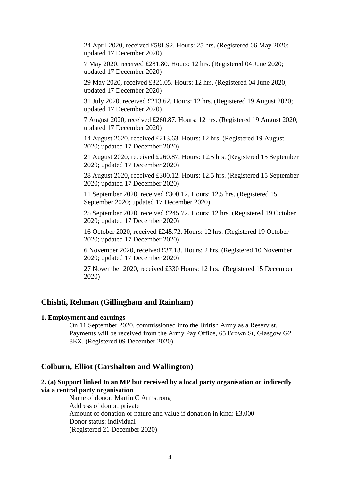24 April 2020, received £581.92. Hours: 25 hrs. (Registered 06 May 2020; updated 17 December 2020)

7 May 2020, received £281.80. Hours: 12 hrs. (Registered 04 June 2020; updated 17 December 2020)

29 May 2020, received £321.05. Hours: 12 hrs. (Registered 04 June 2020; updated 17 December 2020)

31 July 2020, received £213.62. Hours: 12 hrs. (Registered 19 August 2020; updated 17 December 2020)

7 August 2020, received £260.87. Hours: 12 hrs. (Registered 19 August 2020; updated 17 December 2020)

14 August 2020, received £213.63. Hours: 12 hrs. (Registered 19 August 2020; updated 17 December 2020)

21 August 2020, received £260.87. Hours: 12.5 hrs. (Registered 15 September 2020; updated 17 December 2020)

28 August 2020, received £300.12. Hours: 12.5 hrs. (Registered 15 September 2020; updated 17 December 2020)

11 September 2020, received £300.12. Hours: 12.5 hrs. (Registered 15 September 2020; updated 17 December 2020)

25 September 2020, received £245.72. Hours: 12 hrs. (Registered 19 October 2020; updated 17 December 2020)

16 October 2020, received £245.72. Hours: 12 hrs. (Registered 19 October 2020; updated 17 December 2020)

6 November 2020, received £37.18. Hours: 2 hrs. (Registered 10 November 2020; updated 17 December 2020)

27 November 2020, received £330 Hours: 12 hrs. (Registered 15 December 2020)

### **Chishti, Rehman (Gillingham and Rainham)**

### **1. Employment and earnings**

On 11 September 2020, commissioned into the British Army as a Reservist. Payments will be received from the Army Pay Office, 65 Brown St, Glasgow G2 8EX. (Registered 09 December 2020)

### **Colburn, Elliot (Carshalton and Wallington)**

# **2. (a) Support linked to an MP but received by a local party organisation or indirectly via a central party organisation**

Name of donor: Martin C Armstrong Address of donor: private Amount of donation or nature and value if donation in kind: £3,000 Donor status: individual (Registered 21 December 2020)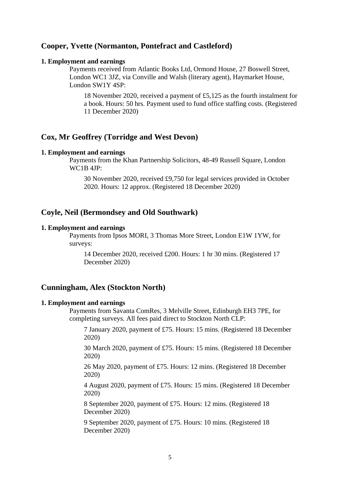# **Cooper, Yvette (Normanton, Pontefract and Castleford)**

### **1. Employment and earnings**

Payments received from Atlantic Books Ltd, Ormond House, 27 Boswell Street, London WC1 3JZ, via Conville and Walsh (literary agent), Haymarket House, London SW1Y 4SP:

18 November 2020, received a payment of £5,125 as the fourth instalment for a book. Hours: 50 hrs. Payment used to fund office staffing costs. (Registered 11 December 2020)

# **Cox, Mr Geoffrey (Torridge and West Devon)**

#### **1. Employment and earnings**

Payments from the Khan Partnership Solicitors, 48-49 Russell Square, London WC1B 4JP:

30 November 2020, received £9,750 for legal services provided in October 2020. Hours: 12 approx. (Registered 18 December 2020)

# **Coyle, Neil (Bermondsey and Old Southwark)**

#### **1. Employment and earnings**

Payments from Ipsos MORI, 3 Thomas More Street, London E1W 1YW, for surveys:

14 December 2020, received £200. Hours: 1 hr 30 mins. (Registered 17 December 2020)

# **Cunningham, Alex (Stockton North)**

### **1. Employment and earnings**

Payments from Savanta ComRes, 3 Melville Street, Edinburgh EH3 7PE, for completing surveys. All fees paid direct to Stockton North CLP:

7 January 2020, payment of £75. Hours: 15 mins. (Registered 18 December 2020)

30 March 2020, payment of £75. Hours: 15 mins. (Registered 18 December 2020)

26 May 2020, payment of £75. Hours: 12 mins. (Registered 18 December 2020)

4 August 2020, payment of £75. Hours: 15 mins. (Registered 18 December 2020)

8 September 2020, payment of £75. Hours: 12 mins. (Registered 18 December 2020)

9 September 2020, payment of £75. Hours: 10 mins. (Registered 18 December 2020)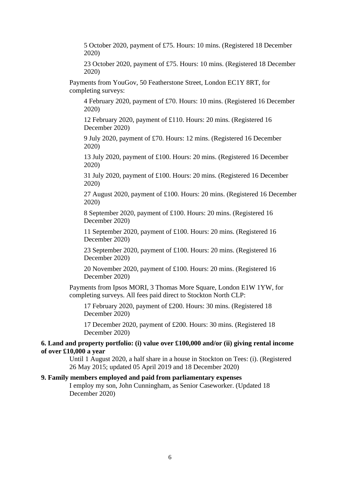5 October 2020, payment of £75. Hours: 10 mins. (Registered 18 December 2020)

23 October 2020, payment of £75. Hours: 10 mins. (Registered 18 December 2020)

Payments from YouGov, 50 Featherstone Street, London EC1Y 8RT, for completing surveys:

4 February 2020, payment of £70. Hours: 10 mins. (Registered 16 December 2020)

12 February 2020, payment of £110. Hours: 20 mins. (Registered 16 December 2020)

9 July 2020, payment of £70. Hours: 12 mins. (Registered 16 December 2020)

13 July 2020, payment of £100. Hours: 20 mins. (Registered 16 December 2020)

31 July 2020, payment of £100. Hours: 20 mins. (Registered 16 December 2020)

27 August 2020, payment of £100. Hours: 20 mins. (Registered 16 December 2020)

8 September 2020, payment of £100. Hours: 20 mins. (Registered 16 December 2020)

11 September 2020, payment of £100. Hours: 20 mins. (Registered 16 December 2020)

23 September 2020, payment of £100. Hours: 20 mins. (Registered 16 December 2020)

20 November 2020, payment of £100. Hours: 20 mins. (Registered 16 December 2020)

Payments from Ipsos MORI, 3 Thomas More Square, London E1W 1YW, for completing surveys. All fees paid direct to Stockton North CLP:

17 February 2020, payment of £200. Hours: 30 mins. (Registered 18 December 2020)

17 December 2020, payment of £200. Hours: 30 mins. (Registered 18 December 2020)

### **6. Land and property portfolio: (i) value over £100,000 and/or (ii) giving rental income of over £10,000 a year**

Until 1 August 2020, a half share in a house in Stockton on Tees: (i). (Registered 26 May 2015; updated 05 April 2019 and 18 December 2020)

### **9. Family members employed and paid from parliamentary expenses**

I employ my son, John Cunningham, as Senior Caseworker. (Updated 18 December 2020)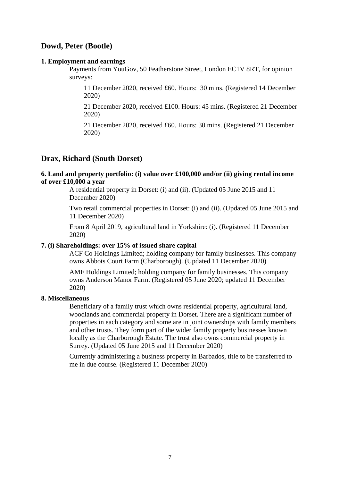# **Dowd, Peter (Bootle)**

### **1. Employment and earnings**

Payments from YouGov, 50 Featherstone Street, London EC1V 8RT, for opinion surveys:

11 December 2020, received £60. Hours: 30 mins. (Registered 14 December 2020)

21 December 2020, received £100. Hours: 45 mins. (Registered 21 December 2020)

21 December 2020, received £60. Hours: 30 mins. (Registered 21 December 2020)

# **Drax, Richard (South Dorset)**

### **6. Land and property portfolio: (i) value over £100,000 and/or (ii) giving rental income of over £10,000 a year**

A residential property in Dorset: (i) and (ii). (Updated 05 June 2015 and 11 December 2020)

Two retail commercial properties in Dorset: (i) and (ii). (Updated 05 June 2015 and 11 December 2020)

From 8 April 2019, agricultural land in Yorkshire: (i). (Registered 11 December 2020)

### **7. (i) Shareholdings: over 15% of issued share capital**

ACF Co Holdings Limited; holding company for family businesses. This company owns Abbots Court Farm (Charborough). (Updated 11 December 2020)

AMF Holdings Limited; holding company for family businesses. This company owns Anderson Manor Farm. (Registered 05 June 2020; updated 11 December 2020)

### **8. Miscellaneous**

Beneficiary of a family trust which owns residential property, agricultural land, woodlands and commercial property in Dorset. There are a significant number of properties in each category and some are in joint ownerships with family members and other trusts. They form part of the wider family property businesses known locally as the Charborough Estate. The trust also owns commercial property in Surrey. (Updated 05 June 2015 and 11 December 2020)

Currently administering a business property in Barbados, title to be transferred to me in due course. (Registered 11 December 2020)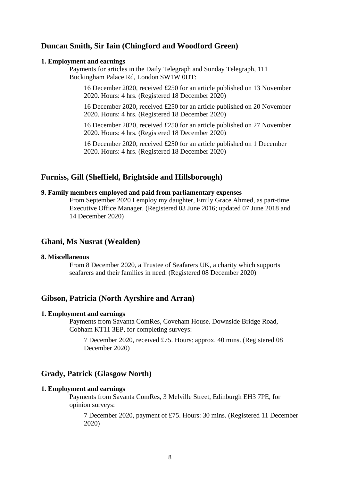# **Duncan Smith, Sir Iain (Chingford and Woodford Green)**

#### **1. Employment and earnings**

Payments for articles in the Daily Telegraph and Sunday Telegraph, 111 Buckingham Palace Rd, London SW1W 0DT:

16 December 2020, received £250 for an article published on 13 November 2020. Hours: 4 hrs. (Registered 18 December 2020)

16 December 2020, received £250 for an article published on 20 November 2020. Hours: 4 hrs. (Registered 18 December 2020)

16 December 2020, received £250 for an article published on 27 November 2020. Hours: 4 hrs. (Registered 18 December 2020)

16 December 2020, received £250 for an article published on 1 December 2020. Hours: 4 hrs. (Registered 18 December 2020)

### **Furniss, Gill (Sheffield, Brightside and Hillsborough)**

# **9. Family members employed and paid from parliamentary expenses**

From September 2020 I employ my daughter, Emily Grace Ahmed, as part-time Executive Office Manager. (Registered 03 June 2016; updated 07 June 2018 and 14 December 2020)

# **Ghani, Ms Nusrat (Wealden)**

### **8. Miscellaneous**

From 8 December 2020, a Trustee of Seafarers UK, a charity which supports seafarers and their families in need. (Registered 08 December 2020)

# **Gibson, Patricia (North Ayrshire and Arran)**

#### **1. Employment and earnings**

Payments from Savanta ComRes, Coveham House. Downside Bridge Road, Cobham KT11 3EP, for completing surveys:

7 December 2020, received £75. Hours: approx. 40 mins. (Registered 08 December 2020)

# **Grady, Patrick (Glasgow North)**

#### **1. Employment and earnings**

Payments from Savanta ComRes, 3 Melville Street, Edinburgh EH3 7PE, for opinion surveys:

7 December 2020, payment of £75. Hours: 30 mins. (Registered 11 December 2020)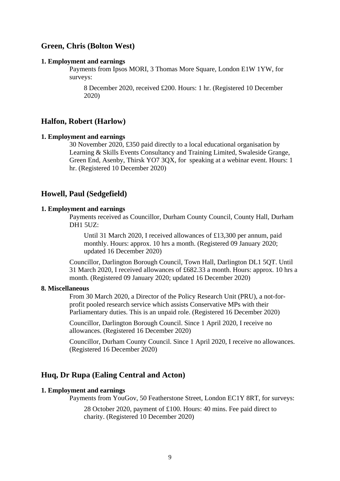### **Green, Chris (Bolton West)**

#### **1. Employment and earnings**

Payments from Ipsos MORI, 3 Thomas More Square, London E1W 1YW, for surveys:

8 December 2020, received £200. Hours: 1 hr. (Registered 10 December 2020)

# **Halfon, Robert (Harlow)**

### **1. Employment and earnings**

30 November 2020, £350 paid directly to a local educational organisation by Learning & Skills Events Consultancy and Training Limited, Swaleside Grange, Green End, Asenby, Thirsk YO7 3QX, for speaking at a webinar event. Hours: 1 hr. (Registered 10 December 2020)

# **Howell, Paul (Sedgefield)**

### **1. Employment and earnings**

Payments received as Councillor, Durham County Council, County Hall, Durham DH1 5UZ:

Until 31 March 2020, I received allowances of £13,300 per annum, paid monthly. Hours: approx. 10 hrs a month. (Registered 09 January 2020; updated 16 December 2020)

Councillor, Darlington Borough Council, Town Hall, Darlington DL1 5QT. Until 31 March 2020, I received allowances of £682.33 a month. Hours: approx. 10 hrs a month. (Registered 09 January 2020; updated 16 December 2020)

#### **8. Miscellaneous**

From 30 March 2020, a Director of the Policy Research Unit (PRU), a not-forprofit pooled research service which assists Conservative MPs with their Parliamentary duties. This is an unpaid role. (Registered 16 December 2020)

Councillor, Darlington Borough Council. Since 1 April 2020, I receive no allowances. (Registered 16 December 2020)

Councillor, Durham County Council. Since 1 April 2020, I receive no allowances. (Registered 16 December 2020)

# **Huq, Dr Rupa (Ealing Central and Acton)**

### **1. Employment and earnings**

Payments from YouGov, 50 Featherstone Street, London EC1Y 8RT, for surveys:

28 October 2020, payment of £100. Hours: 40 mins. Fee paid direct to charity. (Registered 10 December 2020)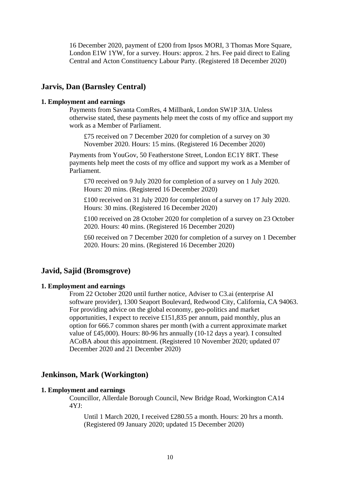16 December 2020, payment of £200 from Ipsos MORI, 3 Thomas More Square, London E1W 1YW, for a survey. Hours: approx. 2 hrs. Fee paid direct to Ealing Central and Acton Constituency Labour Party. (Registered 18 December 2020)

# **Jarvis, Dan (Barnsley Central)**

#### **1. Employment and earnings**

Payments from Savanta ComRes, 4 Millbank, London SW1P 3JA. Unless otherwise stated, these payments help meet the costs of my office and support my work as a Member of Parliament.

£75 received on 7 December 2020 for completion of a survey on 30 November 2020. Hours: 15 mins. (Registered 16 December 2020)

Payments from YouGov, 50 Featherstone Street, London EC1Y 8RT. These payments help meet the costs of my office and support my work as a Member of Parliament.

£70 received on 9 July 2020 for completion of a survey on 1 July 2020. Hours: 20 mins. (Registered 16 December 2020)

£100 received on 31 July 2020 for completion of a survey on 17 July 2020. Hours: 30 mins. (Registered 16 December 2020)

£100 received on 28 October 2020 for completion of a survey on 23 October 2020. Hours: 40 mins. (Registered 16 December 2020)

£60 received on 7 December 2020 for completion of a survey on 1 December 2020. Hours: 20 mins. (Registered 16 December 2020)

# **Javid, Sajid (Bromsgrove)**

### **1. Employment and earnings**

From 22 October 2020 until further notice, Adviser to C3.ai (enterprise AI software provider), 1300 Seaport Boulevard, Redwood City, California, CA 94063. For providing advice on the global economy, geo-politics and market opportunities, I expect to receive £151,835 per annum, paid monthly, plus an option for 666.7 common shares per month (with a current approximate market value of £45,000). Hours: 80-96 hrs annually (10-12 days a year). I consulted ACoBA about this appointment. (Registered 10 November 2020; updated 07 December 2020 and 21 December 2020)

### **Jenkinson, Mark (Workington)**

### **1. Employment and earnings**

Councillor, Allerdale Borough Council, New Bridge Road, Workington CA14 4YJ:

Until 1 March 2020, I received £280.55 a month. Hours: 20 hrs a month. (Registered 09 January 2020; updated 15 December 2020)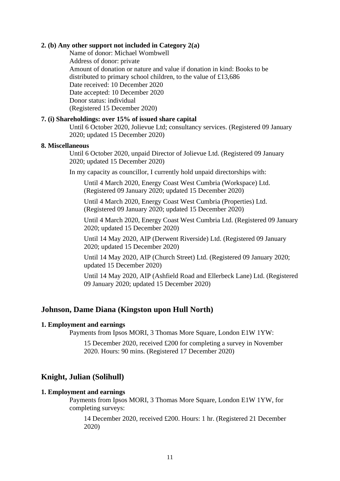### **2. (b) Any other support not included in Category 2(a)**

Name of donor: Michael Wombwell Address of donor: private Amount of donation or nature and value if donation in kind: Books to be distributed to primary school children, to the value of £13,686 Date received: 10 December 2020 Date accepted: 10 December 2020 Donor status: individual (Registered 15 December 2020)

### **7. (i) Shareholdings: over 15% of issued share capital**

Until 6 October 2020, Jolievue Ltd; consultancy services. (Registered 09 January 2020; updated 15 December 2020)

### **8. Miscellaneous**

Until 6 October 2020, unpaid Director of Jolievue Ltd. (Registered 09 January 2020; updated 15 December 2020)

In my capacity as councillor, I currently hold unpaid directorships with:

Until 4 March 2020, Energy Coast West Cumbria (Workspace) Ltd. (Registered 09 January 2020; updated 15 December 2020)

Until 4 March 2020, Energy Coast West Cumbria (Properties) Ltd. (Registered 09 January 2020; updated 15 December 2020)

Until 4 March 2020, Energy Coast West Cumbria Ltd. (Registered 09 January 2020; updated 15 December 2020)

Until 14 May 2020, AIP (Derwent Riverside) Ltd. (Registered 09 January 2020; updated 15 December 2020)

Until 14 May 2020, AIP (Church Street) Ltd. (Registered 09 January 2020; updated 15 December 2020)

Until 14 May 2020, AIP (Ashfield Road and Ellerbeck Lane) Ltd. (Registered 09 January 2020; updated 15 December 2020)

# **Johnson, Dame Diana (Kingston upon Hull North)**

### **1. Employment and earnings**

Payments from Ipsos MORI, 3 Thomas More Square, London E1W 1YW:

15 December 2020, received £200 for completing a survey in November 2020. Hours: 90 mins. (Registered 17 December 2020)

### **Knight, Julian (Solihull)**

#### **1. Employment and earnings**

Payments from Ipsos MORI, 3 Thomas More Square, London E1W 1YW, for completing surveys:

14 December 2020, received £200. Hours: 1 hr. (Registered 21 December 2020)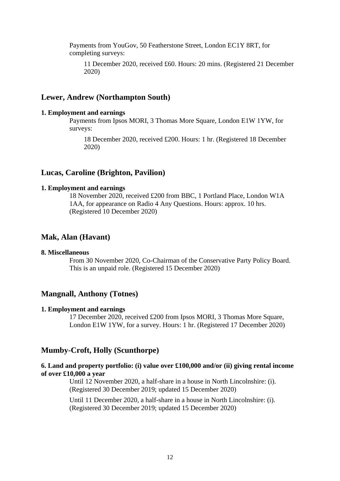Payments from YouGov, 50 Featherstone Street, London EC1Y 8RT, for completing surveys:

11 December 2020, received £60. Hours: 20 mins. (Registered 21 December 2020)

# **Lewer, Andrew (Northampton South)**

#### **1. Employment and earnings**

Payments from Ipsos MORI, 3 Thomas More Square, London E1W 1YW, for surveys:

18 December 2020, received £200. Hours: 1 hr. (Registered 18 December 2020)

### **Lucas, Caroline (Brighton, Pavilion)**

### **1. Employment and earnings**

18 November 2020, received £200 from BBC, 1 Portland Place, London W1A 1AA, for appearance on Radio 4 Any Questions. Hours: approx. 10 hrs. (Registered 10 December 2020)

### **Mak, Alan (Havant)**

# **8. Miscellaneous**

From 30 November 2020, Co-Chairman of the Conservative Party Policy Board. This is an unpaid role. (Registered 15 December 2020)

### **Mangnall, Anthony (Totnes)**

#### **1. Employment and earnings**

17 December 2020, received £200 from Ipsos MORI, 3 Thomas More Square, London E1W 1YW, for a survey. Hours: 1 hr. (Registered 17 December 2020)

### **Mumby-Croft, Holly (Scunthorpe)**

### **6. Land and property portfolio: (i) value over £100,000 and/or (ii) giving rental income of over £10,000 a year**

Until 12 November 2020, a half-share in a house in North Lincolnshire: (i). (Registered 30 December 2019; updated 15 December 2020)

Until 11 December 2020, a half-share in a house in North Lincolnshire: (i). (Registered 30 December 2019; updated 15 December 2020)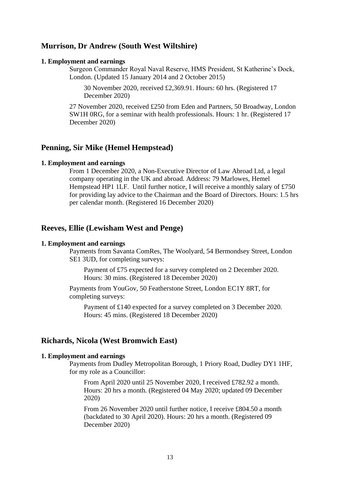# **Murrison, Dr Andrew (South West Wiltshire)**

#### **1. Employment and earnings**

Surgeon Commander Royal Naval Reserve, HMS President, St Katherine's Dock, London. (Updated 15 January 2014 and 2 October 2015)

30 November 2020, received £2,369.91. Hours: 60 hrs. (Registered 17 December 2020)

27 November 2020, received £250 from Eden and Partners, 50 Broadway, London SW1H 0RG, for a seminar with health professionals. Hours: 1 hr. (Registered 17 December 2020)

### **Penning, Sir Mike (Hemel Hempstead)**

### **1. Employment and earnings**

From 1 December 2020, a Non-Executive Director of Law Abroad Ltd, a legal company operating in the UK and abroad. Address: 79 Marlowes, Hemel Hempstead HP1 1LF. Until further notice, I will receive a monthly salary of £750 for providing lay advice to the Chairman and the Board of Directors. Hours: 1.5 hrs per calendar month. (Registered 16 December 2020)

# **Reeves, Ellie (Lewisham West and Penge)**

#### **1. Employment and earnings**

Payments from Savanta ComRes, The Woolyard, 54 Bermondsey Street, London SE1 3UD, for completing surveys:

Payment of £75 expected for a survey completed on 2 December 2020. Hours: 30 mins. (Registered 18 December 2020)

Payments from YouGov, 50 Featherstone Street, London EC1Y 8RT, for completing surveys:

Payment of £140 expected for a survey completed on 3 December 2020. Hours: 45 mins. (Registered 18 December 2020)

# **Richards, Nicola (West Bromwich East)**

### **1. Employment and earnings**

Payments from Dudley Metropolitan Borough, 1 Priory Road, Dudley DY1 1HF, for my role as a Councillor:

From April 2020 until 25 November 2020, I received £782.92 a month. Hours: 20 hrs a month. (Registered 04 May 2020; updated 09 December 2020)

From 26 November 2020 until further notice, I receive £804.50 a month (backdated to 30 April 2020). Hours: 20 hrs a month. (Registered 09 December 2020)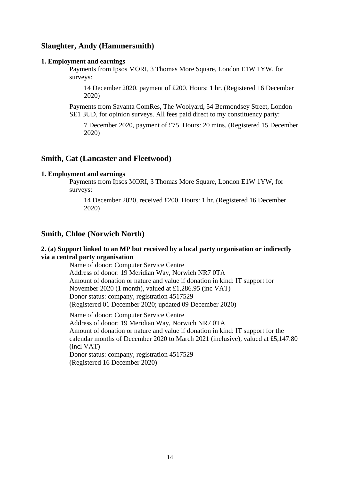# **Slaughter, Andy (Hammersmith)**

### **1. Employment and earnings**

Payments from Ipsos MORI, 3 Thomas More Square, London E1W 1YW, for surveys:

14 December 2020, payment of £200. Hours: 1 hr. (Registered 16 December 2020)

Payments from Savanta ComRes, The Woolyard, 54 Bermondsey Street, London SE1 3UD, for opinion surveys. All fees paid direct to my constituency party:

7 December 2020, payment of £75. Hours: 20 mins. (Registered 15 December 2020)

# **Smith, Cat (Lancaster and Fleetwood)**

### **1. Employment and earnings**

Payments from Ipsos MORI, 3 Thomas More Square, London E1W 1YW, for surveys:

14 December 2020, received £200. Hours: 1 hr. (Registered 16 December 2020)

# **Smith, Chloe (Norwich North)**

### **2. (a) Support linked to an MP but received by a local party organisation or indirectly via a central party organisation**

Name of donor: Computer Service Centre Address of donor: 19 Meridian Way, Norwich NR7 0TA Amount of donation or nature and value if donation in kind: IT support for November 2020 (1 month), valued at £1,286.95 (inc VAT) Donor status: company, registration 4517529 (Registered 01 December 2020; updated 09 December 2020)

Name of donor: Computer Service Centre Address of donor: 19 Meridian Way, Norwich NR7 0TA Amount of donation or nature and value if donation in kind: IT support for the calendar months of December 2020 to March 2021 (inclusive), valued at £5,147.80 (incl VAT) Donor status: company, registration 4517529 (Registered 16 December 2020)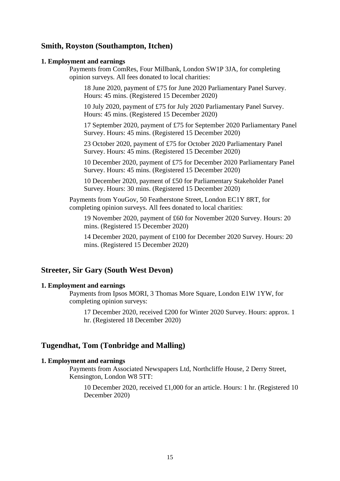# **Smith, Royston (Southampton, Itchen)**

#### **1. Employment and earnings**

Payments from ComRes, Four Millbank, London SW1P 3JA, for completing opinion surveys. All fees donated to local charities:

18 June 2020, payment of £75 for June 2020 Parliamentary Panel Survey. Hours: 45 mins. (Registered 15 December 2020)

10 July 2020, payment of £75 for July 2020 Parliamentary Panel Survey. Hours: 45 mins. (Registered 15 December 2020)

17 September 2020, payment of £75 for September 2020 Parliamentary Panel Survey. Hours: 45 mins. (Registered 15 December 2020)

23 October 2020, payment of £75 for October 2020 Parliamentary Panel Survey. Hours: 45 mins. (Registered 15 December 2020)

10 December 2020, payment of £75 for December 2020 Parliamentary Panel Survey. Hours: 45 mins. (Registered 15 December 2020)

10 December 2020, payment of £50 for Parliamentary Stakeholder Panel Survey. Hours: 30 mins. (Registered 15 December 2020)

Payments from YouGov, 50 Featherstone Street, London EC1Y 8RT, for completing opinion surveys. All fees donated to local charities:

19 November 2020, payment of £60 for November 2020 Survey. Hours: 20 mins. (Registered 15 December 2020)

14 December 2020, payment of £100 for December 2020 Survey. Hours: 20 mins. (Registered 15 December 2020)

# **Streeter, Sir Gary (South West Devon)**

### **1. Employment and earnings**

Payments from Ipsos MORI, 3 Thomas More Square, London E1W 1YW, for completing opinion surveys:

17 December 2020, received £200 for Winter 2020 Survey. Hours: approx. 1 hr. (Registered 18 December 2020)

### **Tugendhat, Tom (Tonbridge and Malling)**

### **1. Employment and earnings**

Payments from Associated Newspapers Ltd, Northcliffe House, 2 Derry Street, Kensington, London W8 5TT:

10 December 2020, received £1,000 for an article. Hours: 1 hr. (Registered 10 December 2020)